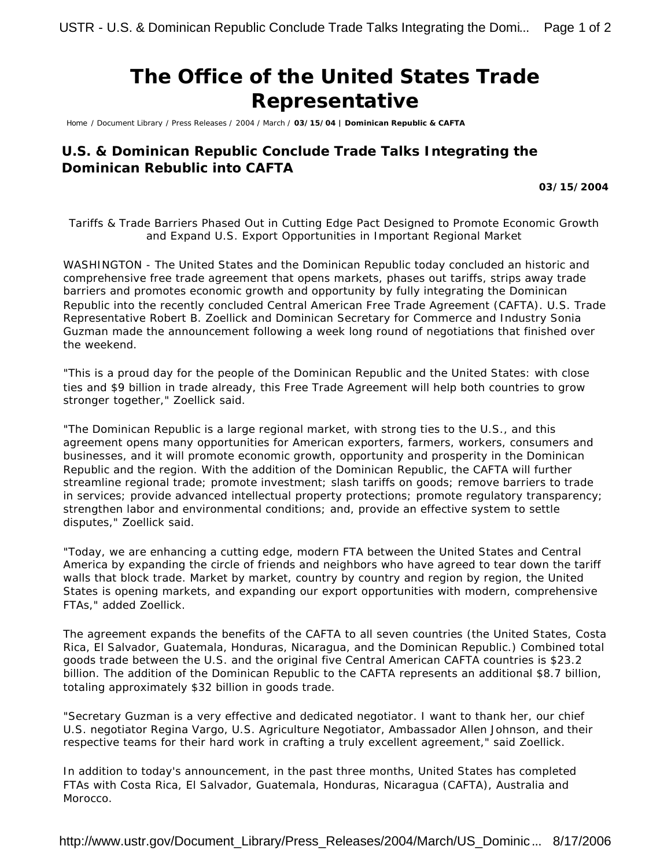## **The Office of the United States Trade Representative**

Home / Document Library / Press Releases / 2004 / March / **03/15/04 | Dominican Republic & CAFTA**

## **U.S. & Dominican Republic Conclude Trade Talks Integrating the Dominican Rebublic into CAFTA**

**03/15/2004**

*Tariffs & Trade Barriers Phased Out in Cutting Edge Pact Designed to Promote Economic Growth and Expand U.S. Export Opportunities in Important Regional Market*

WASHINGTON - The United States and the Dominican Republic today concluded an historic and comprehensive free trade agreement that opens markets, phases out tariffs, strips away trade barriers and promotes economic growth and opportunity by fully integrating the Dominican Republic into the recently concluded Central American Free Trade Agreement (CAFTA). U.S. Trade Representative Robert B. Zoellick and Dominican Secretary for Commerce and Industry Sonia Guzman made the announcement following a week long round of negotiations that finished over the weekend.

"This is a proud day for the people of the Dominican Republic and the United States: with close ties and \$9 billion in trade already, this Free Trade Agreement will help both countries to grow stronger together," Zoellick said.

"The Dominican Republic is a large regional market, with strong ties to the U.S., and this agreement opens many opportunities for American exporters, farmers, workers, consumers and businesses, and it will promote economic growth, opportunity and prosperity in the Dominican Republic and the region. With the addition of the Dominican Republic, the CAFTA will further streamline regional trade; promote investment; slash tariffs on goods; remove barriers to trade in services; provide advanced intellectual property protections; promote regulatory transparency; strengthen labor and environmental conditions; and, provide an effective system to settle disputes," Zoellick said.

"Today, we are enhancing a cutting edge, modern FTA between the United States and Central America by expanding the circle of friends and neighbors who have agreed to tear down the tariff walls that block trade. Market by market, country by country and region by region, the United States is opening markets, and expanding our export opportunities with modern, comprehensive FTAs," added Zoellick.

The agreement expands the benefits of the CAFTA to all seven countries (the United States, Costa Rica, El Salvador, Guatemala, Honduras, Nicaragua, and the Dominican Republic.) Combined total goods trade between the U.S. and the original five Central American CAFTA countries is \$23.2 billion. The addition of the Dominican Republic to the CAFTA represents an additional \$8.7 billion, totaling approximately \$32 billion in goods trade.

"Secretary Guzman is a very effective and dedicated negotiator. I want to thank her, our chief U.S. negotiator Regina Vargo, U.S. Agriculture Negotiator, Ambassador Allen Johnson, and their respective teams for their hard work in crafting a truly excellent agreement," said Zoellick.

In addition to today's announcement, in the past three months, United States has completed FTAs with Costa Rica, El Salvador, Guatemala, Honduras, Nicaragua (CAFTA), Australia and Morocco.